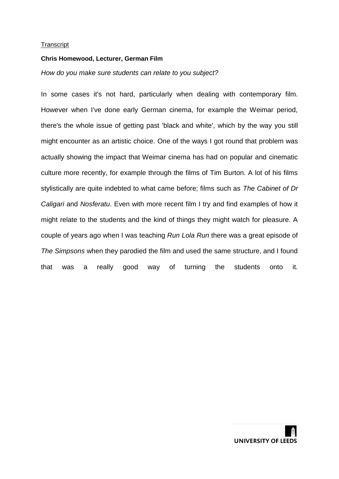#### **Chris Homewood, Lecturer, German Film**

#### *How do you make sure students can relate to you subject?*

In some cases it's not hard, particularly when dealing with contemporary film. However when I've done early German cinema, for example the Weimar period, there's the whole issue of getting past 'black and white', which by the way you still might encounter as an artistic choice. One of the ways I got round that problem was actually showing the impact that Weimar cinema has had on popular and cinematic culture more recently, for example through the films of Tim Burton. A lot of his films stylistically are quite indebted to what came before; films such as *The Cabinet of Dr Caligari* and *Nosferatu*. Even with more recent film I try and find examples of how it might relate to the students and the kind of things they might watch for pleasure. A couple of years ago when I was teaching *Run Lola Run* there was a great episode of *The Simpsons* when they parodied the film and used the same structure, and I found that was a really good way of turning the students onto it.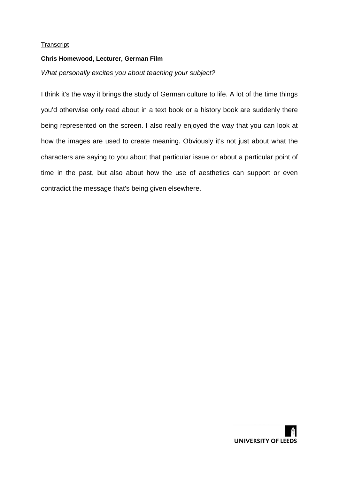## **Chris Homewood, Lecturer, German Film**

# *What personally excites you about teaching your subject?*

I think it's the way it brings the study of German culture to life. A lot of the time things you'd otherwise only read about in a text book or a history book are suddenly there being represented on the screen. I also really enjoyed the way that you can look at how the images are used to create meaning. Obviously it's not just about what the characters are saying to you about that particular issue or about a particular point of time in the past, but also about how the use of aesthetics can support or even contradict the message that's being given elsewhere.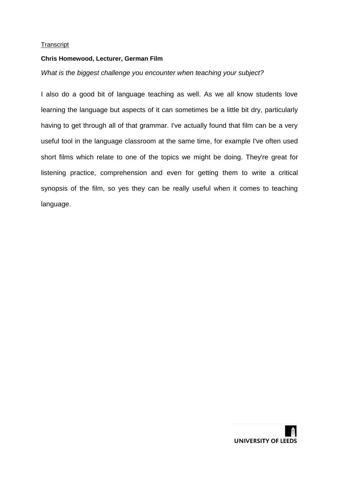### **Chris Homewood, Lecturer, German Film**

### *What is the biggest challenge you encounter when teaching your subject?*

I also do a good bit of language teaching as well. As we all know students love learning the language but aspects of it can sometimes be a little bit dry, particularly having to get through all of that grammar. I've actually found that film can be a very useful tool in the language classroom at the same time, for example I've often used short films which relate to one of the topics we might be doing. They're great for listening practice, comprehension and even for getting them to write a critical synopsis of the film, so yes they can be really useful when it comes to teaching language.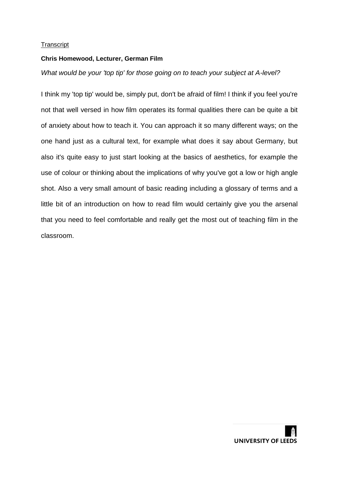## **Chris Homewood, Lecturer, German Film**

# *What would be your 'top tip' for those going on to teach your subject at A-level?*

I think my 'top tip' would be, simply put, don't be afraid of film! I think if you feel you're not that well versed in how film operates its formal qualities there can be quite a bit of anxiety about how to teach it. You can approach it so many different ways; on the one hand just as a cultural text, for example what does it say about Germany, but also it's quite easy to just start looking at the basics of aesthetics, for example the use of colour or thinking about the implications of why you've got a low or high angle shot. Also a very small amount of basic reading including a glossary of terms and a little bit of an introduction on how to read film would certainly give you the arsenal that you need to feel comfortable and really get the most out of teaching film in the classroom.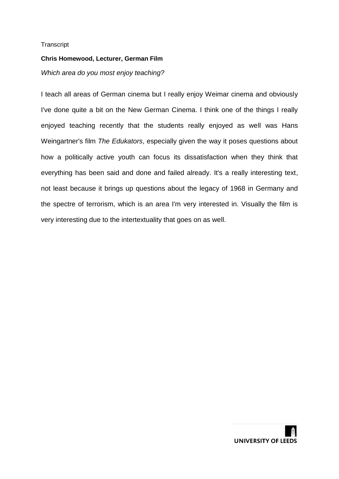## **Chris Homewood, Lecturer, German Film**

# *Which area do you most enjoy teaching?*

I teach all areas of German cinema but I really enjoy Weimar cinema and obviously I've done quite a bit on the New German Cinema. I think one of the things I really enjoyed teaching recently that the students really enjoyed as well was Hans Weingartner's film *The Edukators*, especially given the way it poses questions about how a politically active youth can focus its dissatisfaction when they think that everything has been said and done and failed already. It's a really interesting text, not least because it brings up questions about the legacy of 1968 in Germany and the spectre of terrorism, which is an area I'm very interested in. Visually the film is very interesting due to the intertextuality that goes on as well.